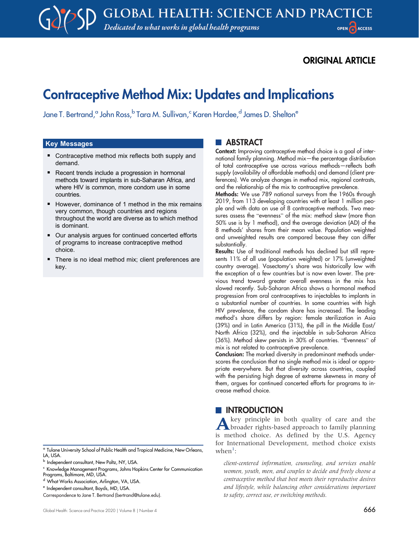## ORIGINAL ARTICLE

# Contraceptive Method Mix: Updates and Implications

Jane T. Bertrand,<sup>a</sup> John Ross, <sup>b</sup> Tara M. Sullivan,<sup>c</sup> Karen Hardee,<sup>d</sup> James D. Shelton<sup>e</sup>

# <u>Key Messages</u>

- Contraceptive method mix reflects both supply and demand.
- Recent trends include a progression in hormonal methods toward implants in sub-Saharan Africa, and where HIV is common, more condom use in some countries.
- However, dominance of 1 method in the mix remains very common, though countries and regions throughout the world are diverse as to which method is dominant.
- Our analysis argues for continued concerted efforts of programs to increase contraceptive method choice.
- There is no ideal method mix; client preferences are key.

#### <sup>a</sup> Tulane University School of Public Health and Tropical Medicine, New Orleans, LA, USA.

- <sup>c</sup> Knowledge Management Programs, Johns Hopkins Center for Communication Programs, Baltimore, MD, USA.
- d What Works Association, Arlington, VA, USA.

#### **ABSTRACT**

Context: Improving contraceptive method choice is a goal of international family planning. Method mix—the percentage distribution of total contraceptive use across various methods—reflects both supply (availability of affordable methods) and demand (client preferences). We analyze changes in method mix, regional contrasts, and the relationship of the mix to contraceptive prevalence.

Methods: We use 789 national surveys from the 1960s through 2019, from 113 developing countries with at least 1 million people and with data on use of 8 contraceptive methods. Two measures assess the "evenness" of the mix: method skew (more than 50% use is by 1 method), and the average deviation (AD) of the 8 methods' shares from their mean value. Population weighted and unweighted results are compared because they can differ substantially.

Results: Use of traditional methods has declined but still represents 11% of all use (population weighted) or 17% (unweighted country average). Vasectomy's share was historically low with the exception of a few countries but is now even lower. The previous trend toward greater overall evenness in the mix has slowed recently. Sub-Saharan Africa shows a hormonal method progression from oral contraceptives to injectables to implants in a substantial number of countries. In some countries with high HIV prevalence, the condom share has increased. The leading method's share differs by region: female sterilization in Asia (39%) and in Latin America (31%), the pill in the Middle East/ North Africa (32%), and the injectable in sub-Saharan Africa (36%). Method skew persists in 30% of countries. "Evenness" of mix is not related to contraceptive prevalence.

Conclusion: The marked diversity in predominant methods underscores the conclusion that no single method mix is ideal or appropriate everywhere. But that diversity across countries, coupled with the persisting high degree of extreme skewness in many of them, argues for continued concerted efforts for programs to increase method choice.

### **INTRODUCTION**

Akey principle in both quality of care and the broader rights-based approach to family planning is method choice. As defined by the U.S. Agency for International Development, method choice exists  $when<sup>1</sup>:$ 

client-centered information, counseling, and services enable women, youth, men, and couples to decide and freely choose a contraceptive method that best meets their reproductive desires and lifestyle, while balancing other considerations important to safety, correct use, or switching methods.

**b** Independent consultant, New Paltz, NY, USA.

<sup>e</sup> Independent consultant, Boyds, MD, USA.

Correspondence to Jane T. Bertrand [\(bertrand@tulane.edu\)](mailto:bertrand@tulane.edu).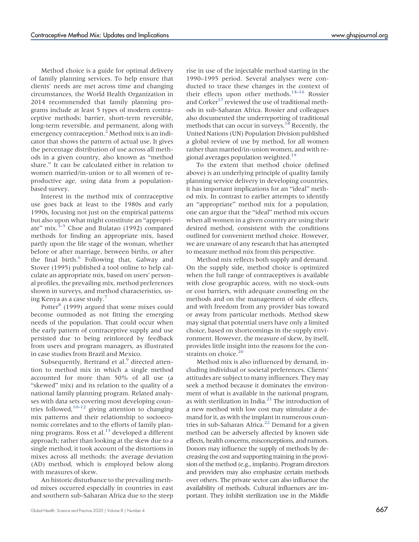Method choice is a guide for optimal delivery of family planning services. To help ensure that clients' needs are met across time and changing circumstances, the World Health Organization in 2014 recommended that family planning programs include at least 5 types of modern contraceptive methods: barrier, short-term reversible, long-term reversible, and permanent, along with emergency contraception.<sup>[2](#page-12-1)</sup> Method mix is an indicator that shows the pattern of actual use. It gives the percentage distribution of use across all methods in a given country, also known as "method share." It can be calculated either in relation to women married/in-union or to all women of reproductive age, using data from a populationbased survey.

Interest in the method mix of contraceptive use goes back at least to the 1980s and early 1990s, focusing not just on the empirical patterns but also upon what might constitute an "appropriate" mix. $3-5$  $3-5$  Choe and Bulatao (1992) compared methods for finding an appropriate mix, based partly upon the life stage of the woman, whether before or after marriage, between births, or after the final birth.<sup>[6](#page-12-4)</sup> Following that, Galway and Stover (1995) published a tool online to help calculate an appropriate mix, based on users' personal profiles, the prevailing mix, method preferences shown in surveys, and method characteristics, using Kenya as a case study.[7](#page-12-5)

Potter $^{8}$  $^{8}$  $^{8}$  (1999) argued that some mixes could become outmoded as not fitting the emerging needs of the population. That could occur when the early pattern of contraceptive supply and use persisted due to being reinforced by feedback from users and program managers, as illustrated in case studies from Brazil and Mexico.

Subsequently, Bertrand et al.<sup>[9](#page-12-7)</sup> directed attention to method mix in which a single method accounted for more than 50% of all use (a "skewed" mix) and its relation to the quality of a national family planning program. Related analyses with data sets covering most developing countries followed,  $10-12$  $10-12$  $10-12$  giving attention to changing mix patterns and their relationship to socioeconomic correlates and to the efforts of family planning programs. Ross et al. $^{13}$  $^{13}$  $^{13}$  developed a different approach; rather than looking at the skew due to a single method, it took account of the distortions in mixes across all methods: the average deviation (AD) method, which is employed below along with measures of skew.

An historic disturbance to the prevailing method mixes occurred especially in countries in east and southern sub-Saharan Africa due to the steep rise in use of the injectable method starting in the 1990–1995 period. Several analyses were conducted to trace these changes in the context of their effects upon other methods.<sup>[14](#page-12-11)–[16](#page-12-12)</sup> Rossier and Corker<sup>[17](#page-12-13)</sup> reviewed the use of traditional methods in sub-Saharan Africa. Rossier and colleagues also documented the underreporting of traditional methods that can occur in surveys.<sup>18</sup> Recently, the United Nations (UN) Population Division published a global review of use by method, for all women rather than married/in-union women, and with regional averages population weighted.<sup>19</sup>

To the extent that method choice (defined above) is an underlying principle of quality family planning service delivery in developing countries, it has important implications for an "ideal" method mix. In contrast to earlier attempts to identify an "appropriate" method mix for a population, one can argue that the "ideal" method mix occurs when all women in a given country are using their desired method, consistent with the conditions outlined for convenient method choice. However, we are unaware of any research that has attempted to measure method mix from this perspective.

Method mix reflects both supply and demand. On the supply side, method choice is optimized when the full range of contraceptives is available with close geographic access, with no stock-outs or cost barriers, with adequate counseling on the methods and on the management of side effects, and with freedom from any provider bias toward or away from particular methods. Method skew may signal that potential users have only a limited choice, based on shortcomings in the supply environment. However, the measure of skew, by itself, provides little insight into the reasons for the con-straints on choice.<sup>[20](#page-12-16)</sup>

Method mix is also influenced by demand, including individual or societal preferences. Clients' attitudes are subject to many influences. They may seek a method because it dominates the environment of what is available in the national program, as with sterilization in India.<sup>[21](#page-13-0)</sup> The introduction of a new method with low cost may stimulate a demand for it, as with the implant in numerous countries in sub-Saharan Africa. $22$  Demand for a given method can be adversely affected by known side effects, health concerns, misconceptions, and rumors. Donors may influence the supply of methods by decreasing the cost and supporting training in the provision of the method (e.g., implants). Program directors and providers may also emphasize certain methods over others. The private sector can also influence the availability of methods. Cultural influences are important. They inhibit sterilization use in the Middle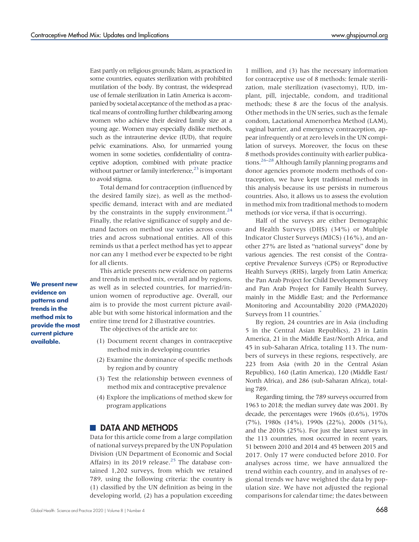East partly on religious grounds; Islam, as practiced in some countries, equates sterilization with prohibited mutilation of the body. By contrast, the widespread use of female sterilization in Latin America is accompanied by societal acceptance of the method as a practical means of controlling further childbearing among women who achieve their desired family size at a young age. Women may especially dislike methods, such as the intrauterine device (IUD), that require pelvic examinations. Also, for unmarried young women in some societies, confidentiality of contraceptive adoption, combined with private practice without partner or family interference, $^{23}$  is important to avoid stigma.

Total demand for contraception (influenced by the desired family size), as well as the methodspecific demand, interact with and are mediated by the constraints in the supply environment.<sup>[24](#page-13-3)</sup> Finally, the relative significance of supply and demand factors on method use varies across countries and across subnational entities. All of this reminds us that a perfect method has yet to appear nor can any 1 method ever be expected to be right for all clients.

This article presents new evidence on patterns and trends in method mix, overall and by regions, as well as in selected countries, for married/inunion women of reproductive age. Overall, our aim is to provide the most current picture available but with some historical information and the entire time trend for 2 illustrative countries.

The objectives of the article are to:

- (1) Document recent changes in contraceptive method mix in developing countries
- (2) Examine the dominance of specific methods by region and by country
- (3) Test the relationship between evenness of method mix and contraceptive prevalence
- (4) Explore the implications of method skew for program applications

#### **DATA AND METHODS**

Data for this article come from a large compilation of national surveys prepared by the UN Population Division (UN Department of Economic and Social Affairs) in its 2019 release. $25$  The database contained 1,202 surveys, from which we retained 789, using the following criteria: the country is (1) classified by the UN definition as being in the developing world, (2) has a population exceeding

1 million, and (3) has the necessary information for contraceptive use of 8 methods: female sterilization, male sterilization (vasectomy), IUD, implant, pill, injectable, condom, and traditional methods; these 8 are the focus of the analysis. Other methods in the UN series, such as the female condom, Lactational Amenorrhea Method (LAM), vaginal barrier, and emergency contraception, appear infrequently or at zero levels in the UN compilation of surveys. Moreover, the focus on these 8 methods provides continuity with earlier publications[.26](#page-13-5)–[28](#page-13-6) Although family planning programs and donor agencies promote modern methods of contraception, we have kept traditional methods in this analysis because its use persists in numerous countries. Also, it allows us to assess the evolution in method mix from traditional methods to modern methods (or vice versa, if that is occurring).

Half of the surveys are either Demographic and Health Surveys (DHS) (34%) or Multiple Indicator Cluster Surveys (MICS) (16%), and another 27% are listed as "national surveys" done by various agencies. The rest consist of the Contraceptive Prevalence Surveys (CPS) or Reproductive Health Surveys (RHS), largely from Latin America; the Pan Arab Project for Child Development Survey and Pan Arab Project for Family Health Survey, mainly in the Middle East; and the Performance Monitoring and Accountability 2020 (PMA2020) Surveys from 11 countries.<sup>\*</sup>

By region, 24 countries are in Asia (including 5 in the Central Asian Republics), 23 in Latin America, 21 in the Middle East/North Africa, and 45 in sub-Saharan Africa, totaling 113. The numbers of surveys in these regions, respectively, are 223 from Asia (with 20 in the Central Asian Republics), 160 (Latin America), 120 (Middle East/ North Africa), and 286 (sub-Saharan Africa), totaling 789.

Regarding timing, the 789 surveys occurred from 1963 to 2018; the median survey date was 2001. By decade, the percentages were 1960s (0.6%), 1970s (7%), 1980s (14%), 1990s (22%), 2000s (31%), and the 2010s (25%). For just the latest surveys in the 113 countries, most occurred in recent years, 51 between 2010 and 2014 and 45 between 2015 and 2017. Only 17 were conducted before 2010. For analyses across time, we have annualized the trend within each country, and in analyses of regional trends we have weighted the data by population size. We have not adjusted the regional comparisons for calendar time; the dates between

We present new evidence on patterns and trends in the method mix to provide the most current picture available.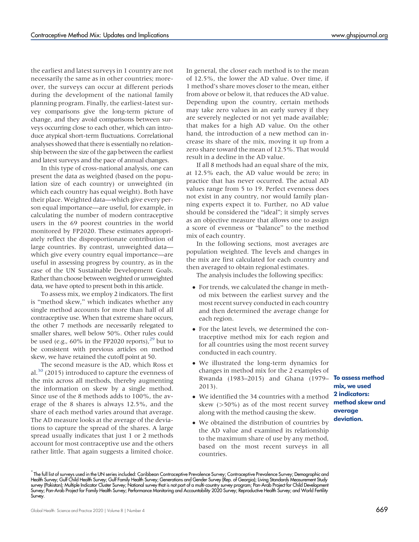the earliest and latest surveys in 1 country are not necessarily the same as in other countries; moreover, the surveys can occur at different periods during the development of the national family planning program. Finally, the earliest-latest survey comparisons give the long-term picture of change, and they avoid comparisons between surveys occurring close to each other, which can introduce atypical short-term fluctuations. Correlational analyses showed that there is essentially no relationship between the size of the gap between the earliest and latest surveys and the pace of annual changes.

In this type of cross-national analysis, one can present the data as weighted (based on the population size of each country) or unweighted (in which each country has equal weight). Both have their place. Weighted data—which give every person equal importance—are useful, for example, in calculating the number of modern contraceptive users in the 69 poorest countries in the world monitored by FP2020. These estimates appropriately reflect the disproportionate contribution of large countries. By contrast, unweighted data which give every country equal importance—are useful in assessing progress by country, as in the case of the UN Sustainable Development Goals. Rather than choose between weighted or unweighted data, we have opted to present both in this article.

To assess mix, we employ 2 indicators. The first is "method skew," which indicates whether any single method accounts for more than half of all contraceptive use. When that extreme share occurs, the other 7 methods are necessarily relegated to smaller shares, well below 50%. Other rules could be used (e.g.,  $60\%$  in the FP2020 reports),  $^{29}$  but to be consistent with previous articles on method skew, we have retained the cutoff point at 50.

The second measure is the AD, which Ross et al. $30$  (2015) introduced to capture the evenness of the mix across all methods, thereby augmenting the information on skew by a single method. Since use of the 8 methods adds to 100%, the average of the 8 shares is always 12.5%, and the share of each method varies around that average. The AD measure looks at the average of the deviations to capture the spread of the shares. A large spread usually indicates that just 1 or 2 methods account for most contraceptive use and the others rather little. That again suggests a limited choice.

In general, the closer each method is to the mean of 12.5%, the lower the AD value. Over time, if 1 method's share moves closer to the mean, either from above or below it, that reduces the AD value. Depending upon the country, certain methods may take zero values in an early survey if they are severely neglected or not yet made available; that makes for a high AD value. On the other hand, the introduction of a new method can increase its share of the mix, moving it up from a zero share toward the mean of 12.5%. That would result in a decline in the AD value.

If all 8 methods had an equal share of the mix, at 12.5% each, the AD value would be zero; in practice that has never occurred. The actual AD values range from 5 to 19. Perfect evenness does not exist in any country, nor would family planning experts expect it to. Further, no AD value should be considered the "ideal"; it simply serves as an objective measure that allows one to assign a score of evenness or "balance" to the method mix of each country.

In the following sections, most averages are population weighted. The levels and changes in the mix are first calculated for each country and then averaged to obtain regional estimates.

The analysis includes the following specifics:

- For trends, we calculated the change in method mix between the earliest survey and the most recent survey conducted in each country and then determined the average change for each region.
- For the latest levels, we determined the contraceptive method mix for each region and for all countries using the most recent survey conducted in each country.
- We illustrated the long-term dynamics for changes in method mix for the 2 examples of Rwanda (1983–2015) and Ghana (1979– 2013).
- We identified the 34 countries with a method skew  $(>50\%)$  as of the most recent survey along with the method causing the skew.
- We obtained the distribution of countries by the AD value and examined its relationship to the maximum share of use by any method, based on the most recent surveys in all countries.

\* The full list of surveys used in the UN series included: Caribbean Contraceptive Prevalence Survey; Contraceptive Prevalence Survey; Demographic and Health Survey; Gulf Child Health Survey; Gulf Family Health Survey; Generations and Gender Survey (Rep. of Georgia); Living Standards Measurement Study survey (Pakistan); Multiple Indicator Cluster Survey; National survey that is not part of a multi-country survey program; Pan-Arab Project tor Child Development<br>Survey; Pan-Arab Project for Family Health Survey; Performanc Survey.

To assess method mix, we used 2 indicators: method skew and average deviation.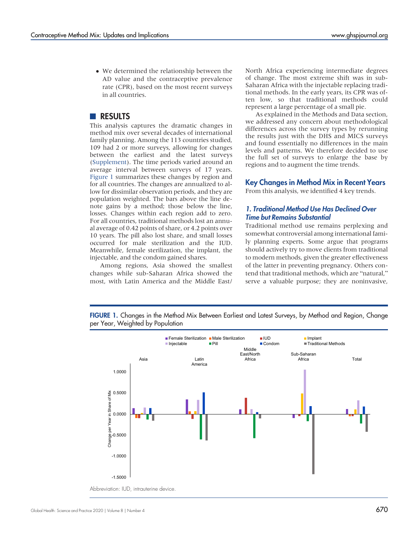<span id="page-4-0"></span> We determined the relationship between the AD value and the contraceptive prevalence rate (CPR), based on the most recent surveys in all countries.

#### **RESULTS**

This analysis captures the dramatic changes in method mix over several decades of international family planning. Among the 113 countries studied, 109 had 2 or more surveys, allowing for changes between the earliest and the latest surveys [\(Supplement](http://ghspjournal.org/lookup/suppl/doi:10.9745/GHSP-D-20-00229/-/DCSupplemental)). The time periods varied around an average interval between surveys of 17 years. Figure 1 summarizes these changes by region and for all countries. The changes are annualized to allow for dissimilar observation periods, and they are population weighted. The bars above the line denote gains by a method; those below the line, losses. Changes within each region add to zero. For all countries, traditional methods lost an annual average of 0.42 points of share, or 4.2 points over 10 years. The pill also lost share, and small losses occurred for male sterilization and the IUD. Meanwhile, female sterilization, the implant, the injectable, and the condom gained shares.

Among regions, Asia showed the smallest changes while sub-Saharan Africa showed the most, with Latin America and the Middle East/

North Africa experiencing intermediate degrees of change. The most extreme shift was in sub-Saharan Africa with the injectable replacing traditional methods. In the early years, its CPR was often low, so that traditional methods could represent a large percentage of a small pie.

As explained in the Methods and Data section, we addressed any concern about methodological differences across the survey types by rerunning the results just with the DHS and MICS surveys and found essentially no differences in the main levels and patterns. We therefore decided to use the full set of surveys to enlarge the base by regions and to augment the time trends.

#### Key Changes in Method Mix in Recent Years

From this analysis, we identified 4 key trends.

#### 1. Traditional Method Use Has Declined Over Time but Remains Substantial

Traditional method use remains perplexing and somewhat controversial among international family planning experts. Some argue that programs should actively try to move clients from traditional to modern methods, given the greater effectiveness of the latter in preventing pregnancy. Others contend that traditional methods, which are "natural," serve a valuable purpose; they are noninvasive,

FIGURE 1. Changes in the Method Mix Between Earliest and Latest Surveys, by Method and Region, Change per Year, Weighted by Population



Abbreviation: IUD, intrauterine device.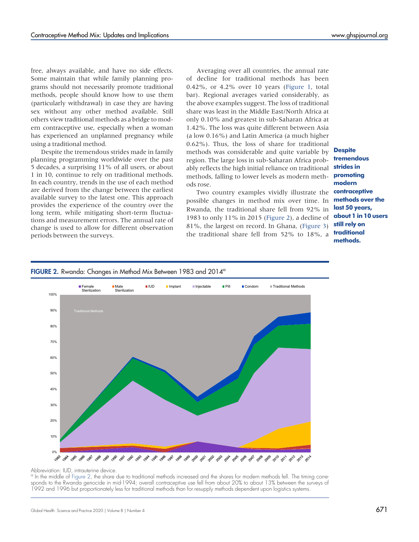free, always available, and have no side effects. Some maintain that while family planning programs should not necessarily promote traditional

methods, people should know how to use them (particularly withdrawal) in case they are having sex without any other method available. Still others view traditional methods as a bridge to modern contraceptive use, especially when a woman has experienced an unplanned pregnancy while using a traditional method.

Despite the tremendous strides made in family planning programming worldwide over the past 5 decades, a surprising 11% of all users, or about 1 in 10, continue to rely on traditional methods. In each country, trends in the use of each method are derived from the change between the earliest available survey to the latest one. This approach provides the experience of the country over the long term, while mitigating short-term fluctuations and measurement errors. The annual rate of change is used to allow for different observation periods between the surveys.

Averaging over all countries, the annual rate of decline for traditional methods has been 0.42%, or 4.2% over 10 years ([Figure 1](#page-4-0), total bar). Regional averages varied considerably, as the above examples suggest. The loss of traditional share was least in the Middle East/North Africa at only 0.10% and greatest in sub-Saharan Africa at 1.42%. The loss was quite different between Asia (a low 0.16%) and Latin America (a much higher 0.62%). Thus, the loss of share for traditional methods was considerable and quite variable by region. The large loss in sub-Saharan Africa probably reflects the high initial reliance on traditional methods, falling to lower levels as modern methods rose.

Two country examples vividly illustrate the possible changes in method mix over time. In Rwanda, the traditional share fell from 92% in 1983 to only 11% in 2015 (Figure 2), a decline of 81%, the largest on record. In Ghana, ([Figure 3\)](#page-6-0) the traditional share fell from 52% to 18%, a

**Despite** tremendous strides in promoting modern contraceptive methods over the last 50 years, about 1 in 10 users still rely on traditional methods.

#### FIGURE 2. Rwanda: Changes in Method Mix Between 1983 and 2014<sup>a</sup>



#### Abbreviation: IUD, intrauterine device.

<sup>a</sup> In the middle of Figure 2, the share due to traditional methods increased and the shares for modern methods fell. The timing corresponds to the Rwanda genocide in mid-1994; overall contraceptive use fell from about 20% to about 13% between the surveys of 1992 and 1996 but proportionately less for traditional methods than for resupply methods dependent upon logistics systems.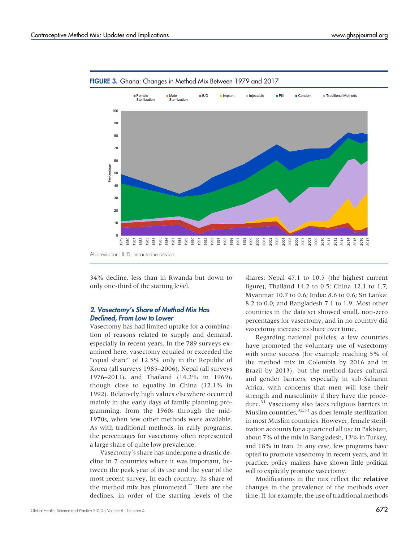

<span id="page-6-0"></span>FIGURE 3. Ghana: Changes in Method Mix Between 1979 and 2017

34% decline, less than in Rwanda but down to only one-third of the starting level.

#### 2. Vasectomy's Share of Method Mix Has Declined, From Low to Lower

Vasectomy has had limited uptake for a combination of reasons related to supply and demand, especially in recent years. In the 789 surveys examined here, vasectomy equaled or exceeded the "equal share" of 12.5% only in the Republic of Korea (all surveys 1985–2006), Nepal (all surveys 1976–2011), and Thailand (14.2% in 1969), though close to equality in China (12.1% in 1992). Relatively high values elsewhere occurred mainly in the early days of family planning programming, from the 1960s through the mid-1970s, when few other methods were available. As with traditional methods, in early programs, the percentages for vasectomy often represented a large share of quite low prevalence.

Vasectomy's share has undergone a drastic decline in 7 countries where it was important, between the peak year of its use and the year of the most recent survey. In each country, its share of the method mix has plummeted.\*\* Here are the declines, in order of the starting levels of the shares: Nepal 47.1 to 10.5 (the highest current figure), Thailand 14.2 to 0.5; China 12.1 to 1.7; Myanmar 10.7 to 0.6; India: 8.6 to 0.6; Sri Lanka: 8.2 to 0.0; and Bangladesh 7.1 to 1.9. Most other countries in the data set showed small, non-zero percentages for vasectomy, and in no country did vasectomy increase its share over time.

Regarding national policies, a few countries have promoted the voluntary use of vasectomy with some success (for example reaching 5% of the method mix in Colombia by 2016 and in Brazil by 2013), but the method faces cultural and gender barriers, especially in sub-Saharan Africa, with concerns that men will lose their strength and masculinity if they have the proce-dure.<sup>[31](#page-13-9)</sup> Vasectomy also faces religious barriers in Muslim countries,  $32.33$  $32.33$  as does female sterilization in most Muslim countries. However, female sterilization accounts for a quarter of all use in Pakistan, about 7% of the mix in Bangladesh, 13% in Turkey, and 18% in Iran. In any case, few programs have opted to promote vasectomy in recent years, and in practice, policy makers have shown little political will to explicitly promote vasectomy.

Modifications in the mix reflect the relative changes in the prevalence of the methods over time. If, for example, the use of traditional methods

Abbreviation: IUD, intrauterine device.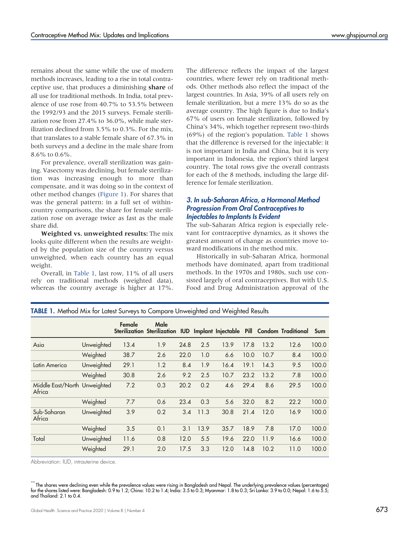remains about the same while the use of modern methods increases, leading to a rise in total contraceptive use, that produces a diminishing share of all use for traditional methods. In India, total prevalence of use rose from 40.7% to 53.5% between the 1992/93 and the 2015 surveys. Female sterilization rose from 27.4% to 36.0%, while male sterilization declined from 3.5% to 0.3%. For the mix, that translates to a stable female share of 67.3% in both surveys and a decline in the male share from 8.6% to 0.6%.

For prevalence, overall sterilization was gaining. Vasectomy was declining, but female sterilization was increasing enough to more than compensate, and it was doing so in the context of other method changes [\(Figure 1](#page-4-0)). For shares that was the general pattern: in a full set of withincountry comparisons, the share for female sterilization rose on average twice as fast as the male share did.

Weighted vs. unweighted results: The mix looks quite different when the results are weighted by the population size of the country versus unweighted, when each country has an equal weight.

Overall, in [Table 1,](#page-7-0) last row, 11% of all users rely on traditional methods (weighted data), whereas the country average is higher at 17%. The difference reflects the impact of the largest countries, where fewer rely on traditional methods. Other methods also reflect the impact of the largest countries. In Asia, 39% of all users rely on female sterilization, but a mere 13% do so as the average country. The high figure is due to India's 67% of users on female sterilization, followed by China's 34%, which together represent two-thirds (69%) of the region's population. [Table 1](#page-7-0) shows that the difference is reversed for the injectable: it is not important in India and China, but it is very important in Indonesia, the region's third largest country. The total rows give the overall contrasts for each of the 8 methods, including the large difference for female sterilization.

#### 3. In sub-Saharan Africa, a Hormonal Method Progression From Oral Contraceptives to Injectables to Implants Is Evident

The sub-Saharan Africa region is especially relevant for contraceptive dynamics, as it shows the greatest amount of change as countries move toward modifications in the method mix.

Historically in sub-Saharan Africa, hormonal methods have dominated, apart from traditional methods. In the 1970s and 1980s, such use consisted largely of oral contraceptives. But with U.S. Food and Drug Administration approval of the

|                                        |            | Female | Male<br>Sterilization Sterilization IUD Implant Injectable Pill Condom Traditional |      |      |      |      |      |      | Sum   |
|----------------------------------------|------------|--------|------------------------------------------------------------------------------------|------|------|------|------|------|------|-------|
| Asia                                   | Unweighted | 13.4   | 1.9                                                                                | 24.8 | 2.5  | 13.9 | 17.8 | 13.2 | 12.6 | 100.0 |
|                                        | Weighted   | 38.7   | 2.6                                                                                | 22.0 | 1.0  | 6.6  | 10.0 | 10.7 | 8.4  | 100.0 |
| Latin America                          | Unweighted | 29.1   | 1.2                                                                                | 8.4  | 1.9  | 16.4 | 19.1 | 14.3 | 9.5  | 100.0 |
|                                        | Weighted   | 30.8   | 2.6                                                                                | 9.2  | 2.5  | 10.7 | 23.2 | 13.2 | 7.8  | 100.0 |
| Middle East/North Unweighted<br>Africa |            | 7.2    | 0.3                                                                                | 20.2 | 0.2  | 4.6  | 29.4 | 8.6  | 29.5 | 100.0 |
|                                        | Weighted   | 7.7    | 0.6                                                                                | 23.4 | 0.3  | 5.6  | 32.0 | 8.2  | 22.2 | 100.0 |
| Sub-Saharan<br>Africa                  | Unweighted | 3.9    | 0.2                                                                                | 3.4  | 11.3 | 30.8 | 21.4 | 12.0 | 16.9 | 100.0 |
|                                        | Weighted   | 3.5    | 0.1                                                                                | 3.1  | 13.9 | 35.7 | 18.9 | 7.8  | 17.0 | 100.0 |
| Total                                  | Unweighted | 11.6   | 0.8                                                                                | 12.0 | 5.5  | 19.6 | 22.0 | 11.9 | 16.6 | 100.0 |
|                                        | Weighted   | 29.1   | 2.0                                                                                | 17.5 | 3.3  | 12.0 | 14.8 | 10.2 | 11.0 | 100.0 |

<span id="page-7-0"></span>TABLE 1. Method Mix for Latest Surveys to Compare Unweighted and Weighted Results

Abbreviation: IUD, intrauterine device.

\*\* The shares were declining even while the prevalence values were rising in Bangladesh and Nepal. The underlying prevalence values (percentages)<br>for the shares listed were: Bangladesh: 0.9 to 1.2; China: 10.2 to 1.4; Indi and Thailand: 2.1 to 0.4.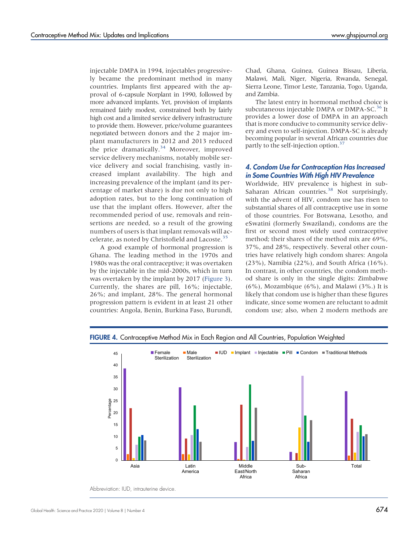<span id="page-8-0"></span>injectable DMPA in 1994, injectables progressively became the predominant method in many countries. Implants first appeared with the approval of 6-capsule Norplant in 1990, followed by more advanced implants. Yet, provision of implants remained fairly modest, constrained both by fairly high cost and a limited service delivery infrastructure to provide them. However, price/volume guarantees negotiated between donors and the 2 major implant manufacturers in 2012 and 2013 reduced the price dramatically.<sup>[34](#page-13-12)</sup> Moreover, improved service delivery mechanisms, notably mobile service delivery and social franchising, vastly increased implant availability. The high and increasing prevalence of the implant (and its percentage of market share) is due not only to high adoption rates, but to the long continuation of use that the implant offers. However, after the recommended period of use, removals and reinsertions are needed, so a result of the growing numbers of users is that implant removals will ac-celerate, as noted by Christofield and Lacoste.<sup>[35](#page-13-13)</sup>

A good example of hormonal progression is Ghana. The leading method in the 1970s and 1980s was the oral contraceptive; it was overtaken by the injectable in the mid-2000s, which in turn was overtaken by the implant by 2017 ([Figure 3](#page-6-0)). Currently, the shares are pill, 16%; injectable, 26%; and implant, 28%. The general hormonal progression pattern is evident in at least 21 other countries: Angola, Benin, Burkina Faso, Burundi,

Chad, Ghana, Guinea, Guinea Bissau, Liberia, Malawi, Mali, Niger, Nigeria, Rwanda, Senegal, Sierra Leone, Timor Leste, Tanzania, Togo, Uganda, and Zambia.

The latest entry in hormonal method choice is subcutaneous injectable DMPA or DMPA-SC.<sup>[36](#page-13-14)</sup> It provides a lower dose of DMPA in an approach that is more conducive to community service delivery and even to self-injection. DMPA-SC is already becoming popular in several African countries due partly to the self-injection option.<sup>37</sup>

#### 4. Condom Use for Contraception Has Increased in Some Countries With High HIV Prevalence

Worldwide, HIV prevalence is highest in sub-Saharan African countries.<sup>[38](#page-13-16)</sup> Not surprisingly, with the advent of HIV, condom use has risen to substantial shares of all contraceptive use in some of those countries. For Botswana, Lesotho, and eSwatini (formerly Swaziland), condoms are the first or second most widely used contraceptive method; their shares of the method mix are 69%, 37%, and 28%, respectively. Several other countries have relatively high condom shares: Angola (23%), Namibia (22%), and South Africa (16%). In contrast, in other countries, the condom method share is only in the single digits: Zimbabwe  $(6\%)$ , Mozambique  $(6\%)$ , and Malawi  $(3\%.)$  It is likely that condom use is higher than these figures indicate, since some women are reluctant to admit condom use; also, when 2 modern methods are



FIGURE 4. Contraceptive Method Mix in Each Region and All Countries, Population Weighted

Abbreviation: IUD, intrauterine device.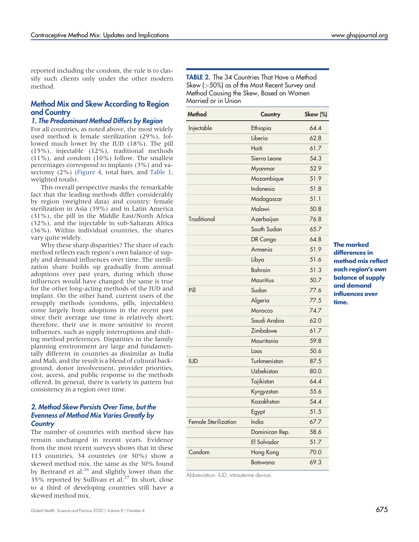reported including the condom, the rule is to classify such clients only under the other modern method.

#### Method Mix and Skew According to Region and Country

#### 1. The Predominant Method Differs by Region

For all countries, as noted above, the most widely used method is female sterilization (29%), followed much lower by the IUD (18%). The pill (15%), injectable (12%), traditional methods (11%), and condom (10%) follow. The smallest percentages correspond to implants (3%) and vasectomy (2%) [\(Figure 4](#page-8-0), total bars, and [Table 1,](#page-7-0) weighted totals).

This overall perspective masks the remarkable fact that the leading methods differ considerably by region (weighted data) and country: female sterilization in Asia (39%) and in Latin America (31%), the pill in the Middle East/North Africa (32%), and the injectable in sub-Saharan Africa (36%). Within individual countries, the shares vary quite widely.

Why these sharp disparities? The share of each method reflects each region's own balance of supply and demand influences over time. The sterilization share builds up gradually from annual adoptions over past years, during which those influences would have changed; the same is true for the other long-acting methods of the IUD and implant. On the other hand, current users of the resupply methods (condoms, pills, injectables) come largely from adoptions in the recent past since their average use time is relatively short; therefore, their use is more sensitive to recent influences, such as supply interruptions and shifting method preferences. Disparities in the family planning environment are large and fundamentally different in countries as dissimilar as India and Mali, and the result is a blend of cultural background, donor involvement, provider priorities, cost, access, and public response to the methods offered. In general, there is variety in pattern but consistency in a region over time.

#### 2. Method Skew Persists Over Time, but the Evenness of Method Mix Varies Greatly by **Country**

The number of countries with method skew has remain unchanged in recent years. Evidence from the most recent surveys shows that in these 113 countries, 34 countries (or 30%) show a skewed method mix, the same as the 30% found by Bertrand et al.<sup>26</sup> and slightly lower than the 35% reported by Sullivan et al. $27$  In short, close to a third of developing countries still have a skewed method mix.

<span id="page-9-0"></span>TABLE 2. The 34 Countries That Have a Method Skew (>50%) as of the Most Recent Survey and Method Causing the Skew, Based on Women Married or in Union

| Method               | Country        | Skew (%) |
|----------------------|----------------|----------|
| Injectable           | Ethiopia       | 64.4     |
|                      | Liberia        | 62.8     |
|                      | Haiti          | 61.7     |
|                      | Sierra Leone   | 54.3     |
|                      | Myanmar        | 52.9     |
|                      | Mozambique     | 51.9     |
|                      | Indonesia      | 51.8     |
|                      | Madagascar     | 51.1     |
|                      | Malawi         | 50.8     |
| <b>Traditional</b>   | Azerbaijan     | 76.8     |
|                      | South Sudan    | 65.7     |
|                      | DR Congo       | 64.8     |
|                      | Armenia        | 51.9     |
|                      | Libya          | 51.6     |
|                      | <b>Bahrain</b> | 51.3     |
|                      | Mauritius      | 50.7     |
| Pill                 | Sudan          | 77.6     |
|                      | Algeria        | 77.5     |
|                      | Morocco        | 74.7     |
|                      | Saudi Arabia   | 62.0     |
|                      | Zimbabwe       | 61.7     |
|                      | Mauritania     | 59.8     |
|                      | Laos           | 50.6     |
| <b>IUD</b>           | Turkmenistan   | 87.5     |
|                      | Uzbekistan     | 80.0     |
|                      | Tajikistan     | 64.4     |
|                      | Kyrgyzstan     | 55.6     |
|                      | Kazakhstan     | 54.4     |
|                      | Egypt          | 51.5     |
| Female Sterilization | India          | 67.7     |
|                      | Dominican Rep. | 58.6     |
|                      | El Salvador    | 51.7     |
| Condom               | Hong Kong      | 70.0     |
|                      | Botswana       | 69.3     |

Abbreviation: IUD, intrauterine device.

The marked differences in method mix reflect each region's own balance of supply and demand influences over time.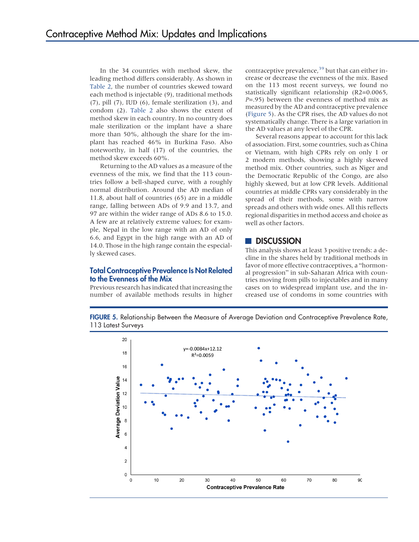In the 34 countries with method skew, the leading method differs considerably. As shown in [Table 2](#page-9-0), the number of countries skewed toward each method is injectable (9), traditional methods (7), pill (7), IUD (6), female sterilization (3), and condom (2). [Table 2](#page-9-0) also shows the extent of method skew in each country. In no country does male sterilization or the implant have a share more than 50%, although the share for the implant has reached 46% in Burkina Faso. Also noteworthy, in half (17) of the countries, the method skew exceeds 60%.

Returning to the AD values as a measure of the evenness of the mix, we find that the 113 countries follow a bell-shaped curve, with a roughly normal distribution. Around the AD median of 11.8, about half of countries (65) are in a middle range, falling between ADs of 9.9 and 13.7, and 97 are within the wider range of ADs 8.6 to 15.0. A few are at relatively extreme values; for example, Nepal in the low range with an AD of only 6.6, and Egypt in the high range with an AD of 14.0. Those in the high range contain the especially skewed cases.

#### Total Contraceptive Prevalence Is Not Related to the Evenness of the Mix

Previous research has indicated that increasing the number of available methods results in higher contraceptive prevalence,  $39$  but that can either increase or decrease the evenness of the mix. Based on the 113 most recent surveys, we found no statistically significant relationship (R2=0.0065,  $P=0.95$ ) between the evenness of method mix as measured by the AD and contraceptive prevalence (Figure 5). As the CPR rises, the AD values do not systematically change. There is a large variation in the AD values at any level of the CPR.

Several reasons appear to account for this lack of association. First, some countries, such as China or Vietnam, with high CPRs rely on only 1 or 2 modern methods, showing a highly skewed method mix. Other countries, such as Niger and the Democratic Republic of the Congo, are also highly skewed, but at low CPR levels. Additional countries at middle CPRs vary considerably in the spread of their methods, some with narrow spreads and others with wide ones. All this reflects regional disparities in method access and choice as well as other factors.

### **DISCUSSION**

This analysis shows at least 3 positive trends: a decline in the shares held by traditional methods in favor of more effective contraceptives, a "hormonal progression" in sub-Saharan Africa with countries moving from pills to injectables and in many cases on to widespread implant use, and the increased use of condoms in some countries with



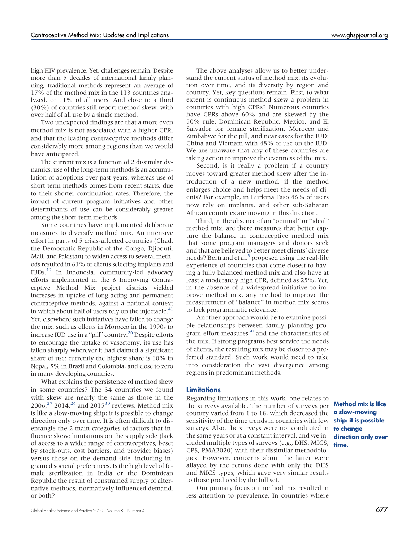high HIV prevalence. Yet, challenges remain. Despite more than 5 decades of international family planning, traditional methods represent an average of 17% of the method mix in the 113 countries analyzed, or 11% of all users. And close to a third (30%) of countries still report method skew, with over half of all use by a single method.

Two unexpected findings are that a more even method mix is not associated with a higher CPR, and that the leading contraceptive methods differ considerably more among regions than we would have anticipated.

The current mix is a function of 2 dissimilar dynamics: use of the long-term methods is an accumulation of adoptions over past years, whereas use of short-term methods comes from recent starts, due to their shorter continuation rates. Therefore, the impact of current program initiatives and other determinants of use can be considerably greater among the short-term methods.

Some countries have implemented deliberate measures to diversify method mix. An intensive effort in parts of 5 crisis-affected countries (Chad, the Democratic Republic of the Congo, Djibouti, Mali, and Pakistan) to widen access to several methods resulted in 61% of clients selecting implants and IUDs[.40](#page-13-19) In Indonesia, community-led advocacy efforts implemented in the 6 Improving Contraceptive Method Mix project districts yielded increases in uptake of long-acting and permanent contraceptive methods, against a national context in which about half of users rely on the injectable. $41$ Yet, elsewhere such initiatives have failed to change the mix, such as efforts in Morocco in the 1990s to increase IUD use in a "pill" country.<sup>[26](#page-13-5)</sup> Despite efforts to encourage the uptake of vasectomy, its use has fallen sharply wherever it had claimed a significant share of use; currently the highest share is 10% in Nepal, 5% in Brazil and Colombia, and close to zero in many developing countries.

What explains the persistence of method skew in some countries? The 34 countries we found with skew are nearly the same as those in the 2006,<sup>[27](#page-13-17)</sup> 2014,<sup>26</sup> and 2015<sup>30</sup> reviews. Method mix is like a slow-moving ship: it is possible to change direction only over time. It is often difficult to disentangle the 2 main categories of factors that influence skew: limitations on the supply side (lack of access to a wider range of contraceptives, beset by stock-outs, cost barriers, and provider biases) versus those on the demand side, including ingrained societal preferences. Is the high level of female sterilization in India or the Dominican Republic the result of constrained supply of alternative methods, normatively influenced demand, or both?

The above analyses allow us to better understand the current status of method mix, its evolution over time, and its diversity by region and country. Yet, key questions remain. First, to what extent is continuous method skew a problem in countries with high CPRs? Numerous countries have CPRs above 60% and are skewed by the 50% rule: Dominican Republic, Mexico, and El Salvador for female sterilization, Morocco and Zimbabwe for the pill, and near cases for the IUD: China and Vietnam with 48% of use on the IUD. We are unaware that any of these countries are taking action to improve the evenness of the mix.

Second, is it really a problem if a country moves toward greater method skew after the introduction of a new method, if the method enlarges choice and helps meet the needs of clients? For example, in Burkina Faso 46% of users now rely on implants, and other sub-Saharan African countries are moving in this direction.

Third, in the absence of an "optimal" or "ideal" method mix, are there measures that better capture the balance in contraceptive method mix that some program managers and donors seek and that are believed to better meet clients' diverse needs? Bertrand et al.<sup>[9](#page-12-7)</sup> proposed using the real-life experience of countries that come closest to having a fully balanced method mix and also have at least a moderately high CPR, defined as 25%. Yet, in the absence of a widespread initiative to improve method mix, any method to improve the measurement of "balance" in method mix seems to lack programmatic relevance.

Another approach would be to examine possible relationships between family planning program effort measures $30$  and the characteristics of the mix. If strong programs best service the needs of clients, the resulting mix may be closer to a preferred standard. Such work would need to take into consideration the vast divergence among regions in predominant methods.

#### Limitations

Regarding limitations in this work, one relates to the surveys available. The number of surveys per country varied from 1 to 18, which decreased the sensitivity of the time trends in countries with few surveys. Also, the surveys were not conducted in **to change** the same years or at a constant interval, and we included multiple types of surveys (e.g., DHS, MICS, time. CPS, PMA2020) with their dissimilar methodologies. However, concerns about the latter were allayed by the reruns done with only the DHS and MICS types, which gave very similar results to those produced by the full set.

Our primary focus on method mix resulted in less attention to prevalence. In countries where

Method mix is like a slow-moving ship: it is possible direction only over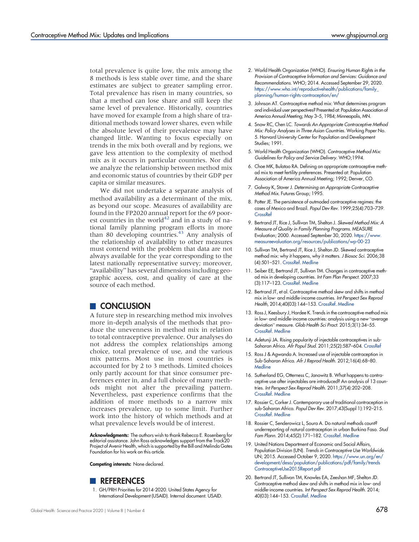total prevalence is quite low, the mix among the 8 methods is less stable over time, and the share estimates are subject to greater sampling error. Total prevalence has risen in many countries, so that a method can lose share and still keep the same level of prevalence. Historically, countries have moved for example from a high share of traditional methods toward lower shares, even while the absolute level of their prevalence may have changed little. Wanting to focus especially on trends in the mix both overall and by regions, we gave less attention to the complexity of method mix as it occurs in particular countries. Nor did we analyze the relationship between method mix and economic status of countries by their GDP per capita or similar measures.

We did not undertake a separate analysis of method availability as a determinant of the mix, as beyond our scope. Measures of availability are found in the FP2020 annual report for the 69 poor-est countries in the world<sup>[42](#page-13-21)</sup> and in a study of national family planning program efforts in more than 80 developing countries.<sup>[43](#page-13-22)</sup> Any analysis of the relationship of availability to other measures must contend with the problem that data are not always available for the year corresponding to the latest nationally representative survey; moreover, "availability" has several dimensions including geographic access, cost, and quality of care at the source of each method.

#### **CONCLUSION**

A future step in researching method mix involves more in-depth analysis of the methods that produce the unevenness in method mix in relation to total contraceptive prevalence. Our analyses do not address the complex relationships among choice, total prevalence of use, and the various mix patterns. Most use in most countries is accounted for by 2 to 3 methods. Limited choices only partly account for that since consumer preferences enter in, and a full choice of many methods might not alter the prevailing pattern. Nevertheless, past experience confirms that the addition of more methods to a narrow mix increases prevalence, up to some limit. Further work into the history of which methods and at what prevalence levels would be of interest.

Acknowledgments: The authors wish to thank Rebecca E. Rosenberg for editorial assistance. John Ross acknowledges support from the Track20 Project of Avenir Health, which is supported by the Bill and Melinda Gates Foundation for his work on this article.

Competing interests: None declared.



<span id="page-12-0"></span>1. GH/PRH Priorities for 2014-2020. United States Agency for International Development (USAID). Internal document. USAID.

- <span id="page-12-1"></span>2. World Health Organization (WHO). Ensuring Human Rights in the Provision of Contraceptive Information and Services: Guidance and Recommendations. WHO; 2014. Accessed September 29, 2020. [https://www.who.int/reproductivehealth/publications/family\\_](https://www.who.int/reproductivehealth/publications/family_planning/human-rights-contraception/en/) [planning/human-rights-contraception/en/](https://www.who.int/reproductivehealth/publications/family_planning/human-rights-contraception/en/)
- <span id="page-12-2"></span>3. Johnson AT. Contraceptive method mix: What determines program and individual user perspectives? Presented at: Population Association of America Annual Meeting; May 3–5, 1984; Minneapolis, MN.
- 4. Snow RC, Chen LC. Towards An Appropriate Contraceptive Method Mix: Policy Analyses in Three Asian Countries. Working Paper No. 5. Harvard University Center for Population and Development Studies; 1991.
- <span id="page-12-3"></span>5. World Health Organization (WHO). Contraceptive Method Mix: Guidelines for Policy and Service Delivery. WHO;1994.
- <span id="page-12-4"></span>6. Choe MK, Bulatao RA. Defining an appropriate contraceptive method mix to meet fertility preferences. Presented at: Population Association of America Annual Meeting; 1992; Denver, CO.
- <span id="page-12-5"></span>7. Galway K, Stover J. Determining an Appropriate Contraceptive Method Mix. Futures Group; 1995.
- <span id="page-12-6"></span>8. Potter JE. The persistence of outmoded contraceptive regimes: the cases of Mexico and Brazil. Popul Dev Rev. 1999;25(4):703–739. **[CrossRef](https://doi.org/10.1111/j.1728-4457.1999.00703.x)**
- <span id="page-12-7"></span>9. Bertrand JT, Rice J, Sullivan TM, Shelton J. Skewed Method Mix: A Measure of Quality in Family Planning Programs. MEASURE Evaluation; 2000. Accessed September 30, 2020. [https://www.](https://www.measureevaluation.org/resources/publications/wp-00-23) [measureevaluation.org/resources/publications/wp-00-23](https://www.measureevaluation.org/resources/publications/wp-00-23)
- <span id="page-12-8"></span>10. Sullivan TM, Bertrand JT, Rice J, Shelton JD. Skewed contraceptive method mix: why it happens, why it matters. J Biosoc Sci. 2006;38 (4):501–521. [CrossRef](https://doi.org/10.1017/S0021932005026647). [Medline](http://www.ncbi.nlm.nih.gov/pubmed/16762087)
- 11. Seiber EE, Bertrand JT, Sullivan TM. Changes in contraceptive method mix in developing countries. Int Fam Plan Perspect. 2007;33 (3):117–123. [CrossRef](https://doi.org/10.1363/3311707). [Medline](http://www.ncbi.nlm.nih.gov/pubmed/17938094)
- <span id="page-12-9"></span>12. Bertrand JT, et al. Contraceptive method skew and shifts in method mix in low- and middle-income countries. Int Perspect Sex Reprod Health, 2014;40(03):144–153. [CrossRef](https://doi.org/10.1363/4014414). [Medline](http://www.ncbi.nlm.nih.gov/pubmed/25271650)
- <span id="page-12-10"></span>13. Ross J, Keesbury J, Hardee K. Trends in the contraceptive method mix in low- and middle-income countries: analysis using a new "average deviation" measure. Glob Health Sci Pract. 2015;3(1):34–55. [CrossRef](https://doi.org/10.9745/GHSP-D-14-00199). [Medline](http://www.ncbi.nlm.nih.gov/pubmed/25745119)
- <span id="page-12-11"></span>14. Adetunji JA. Rising popularity of injectable contraceptives in sub-Saharan Africa. Afr Popul Stud. 2011;25(2):587–604. [CrossRef](https://doi.org/10.11564/25-2-247)
- 15. Ross J & Agwanda A. Increased use of injectable contraception in Sub-Saharan Africa. Afr J Reprod Health. 2012;16(4):68–80. **[Medline](http://www.ncbi.nlm.nih.gov/pubmed/23444545)**
- <span id="page-12-12"></span>16. Sutherland EG, Otterness C, Janowitz B. What happens to contraceptive use after injectables are introduced? An analysis of 13 countries. Int Perspect Sex Reprod Health. 2011;37(4):202–208. [CrossRef](https://doi.org/10.1363/3720211). [Medline](http://www.ncbi.nlm.nih.gov/pubmed/22227627)
- <span id="page-12-13"></span>17. Rossier C, Corker J. Contemporary use of traditional contraception in sub-Saharan Africa. Popul Dev Rev. 2017;43(Suppl 1):192–215. [CrossRef](https://doi.org/10.1111/padr.12008). [Medline](http://www.ncbi.nlm.nih.gov/pubmed/29307923)
- <span id="page-12-14"></span>18. Rossier C, Senderowicz L, Soura A. Do natural methods count? underreporting of natural contraception in urban Burkina Faso. Stud Fam Plann. 2014;45(2):171–182. [CrossRef.](https://doi.org/10.1111/j.1728-4465.2014.00383.x) [Medline](http://www.ncbi.nlm.nih.gov/pubmed/24931074)
- <span id="page-12-15"></span>19. United Nations Department of Economic and Social Affairs, Population Division (UN). Trends in Contraceptive Use Worldwide. UN; 2015. Accessed October 9, 2020. [https://www.un.org/en/](https://www.un.org/en/development/desa/population/publications/pdf/family/trendsContraceptiveUse2015Report.pdf) [development/desa/population/publications/pdf/family/trends](https://www.un.org/en/development/desa/population/publications/pdf/family/trendsContraceptiveUse2015Report.pdf) [ContraceptiveUse2015Report.pdf](https://www.un.org/en/development/desa/population/publications/pdf/family/trendsContraceptiveUse2015Report.pdf)
- <span id="page-12-16"></span>20. Bertrand JT, Sullivan TM, Knowles EA, Zeeshan MF, Shelton JD. Contraceptive method skew and shifts in method mix in low- and middle-income countries. Int Perspect Sex Reprod Health. 2014; 40(03):144–153. [CrossRef](https://doi.org/10.1363/4014414). [Medline](http://www.ncbi.nlm.nih.gov/pubmed/25271650)